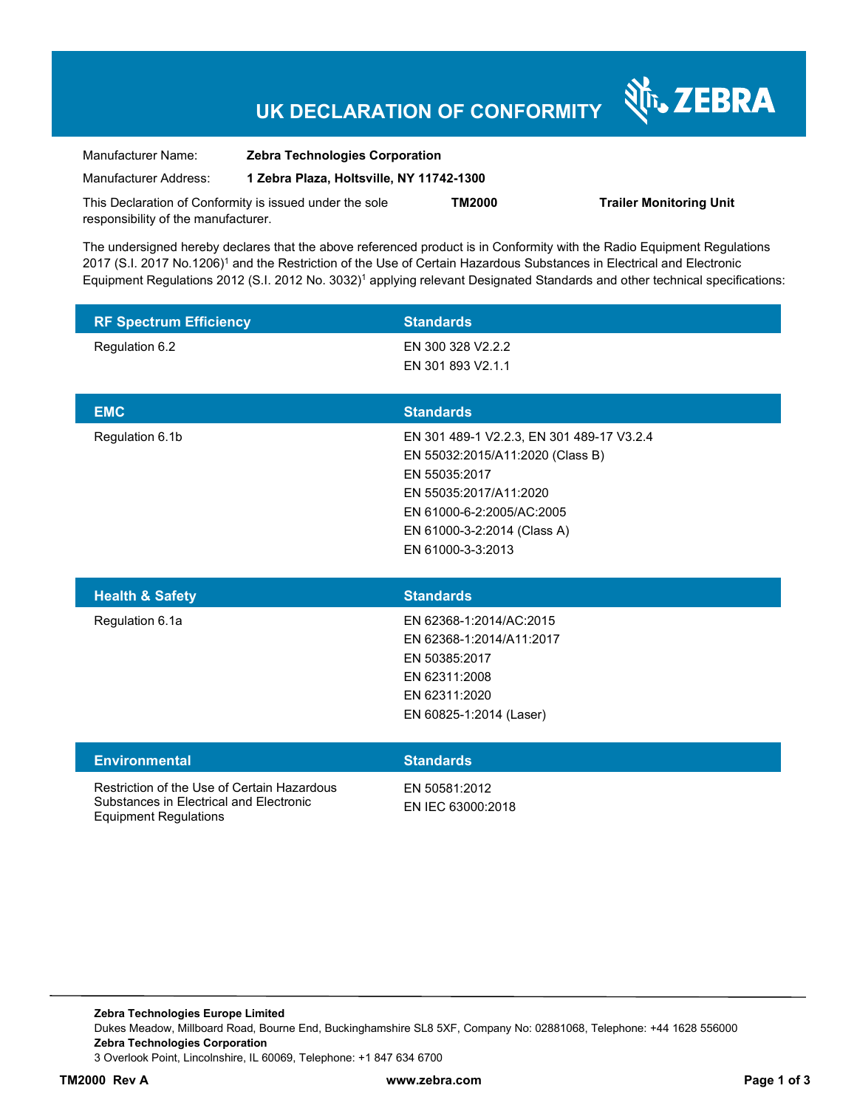## **UK DECLARATION OF CONFORMITY**

Nr. ZEBRA

| Manufacturer Name:                  | <b>Zebra Technologies Corporation</b>                   |        |                                |
|-------------------------------------|---------------------------------------------------------|--------|--------------------------------|
| Manufacturer Address:               | 1 Zebra Plaza, Holtsville, NY 11742-1300                |        |                                |
|                                     | This Declaration of Conformity is issued under the sole | TM2000 | <b>Trailer Monitoring Unit</b> |
| responsibility of the manufacturer. |                                                         |        |                                |

The undersigned hereby declares that the above referenced product is in Conformity with the Radio Equipment Regulations 2017 (S.I. 2017 No.1206)<sup>1</sup> and the Restriction of the Use of Certain Hazardous Substances in Electrical and Electronic Equipment Regulations 2012 (S.I. 2012 No. 3032)<sup>1</sup> applying relevant Designated Standards and other technical specifications:

| <b>RF Spectrum Efficiency</b>               | <b>Standards</b>                                    |
|---------------------------------------------|-----------------------------------------------------|
| Regulation 6.2                              | EN 300 328 V2.2.2                                   |
|                                             | EN 301 893 V2.1.1                                   |
|                                             |                                                     |
| <b>EMC</b>                                  | <b>Standards</b>                                    |
| Regulation 6.1b                             | EN 301 489-1 V2.2.3, EN 301 489-17 V3.2.4           |
|                                             | EN 55032:2015/A11:2020 (Class B)                    |
|                                             | EN 55035:2017                                       |
|                                             | EN 55035:2017/A11:2020<br>EN 61000-6-2:2005/AC:2005 |
|                                             | EN 61000-3-2:2014 (Class A)                         |
|                                             | EN 61000-3-3:2013                                   |
|                                             |                                                     |
| <b>Health &amp; Safety</b>                  | <b>Standards</b>                                    |
| Regulation 6.1a                             | EN 62368-1:2014/AC:2015                             |
|                                             | EN 62368-1:2014/A11:2017                            |
|                                             | EN 50385:2017                                       |
|                                             | EN 62311:2008                                       |
|                                             | EN 62311:2020                                       |
|                                             | EN 60825-1:2014 (Laser)                             |
| <b>Environmental</b>                        | <b>Standards</b>                                    |
| Restriction of the Use of Certain Hazardous | EN 50581:2012                                       |

Substances in Electrical and Electronic Equipment Regulations

EN IEC 63000:2018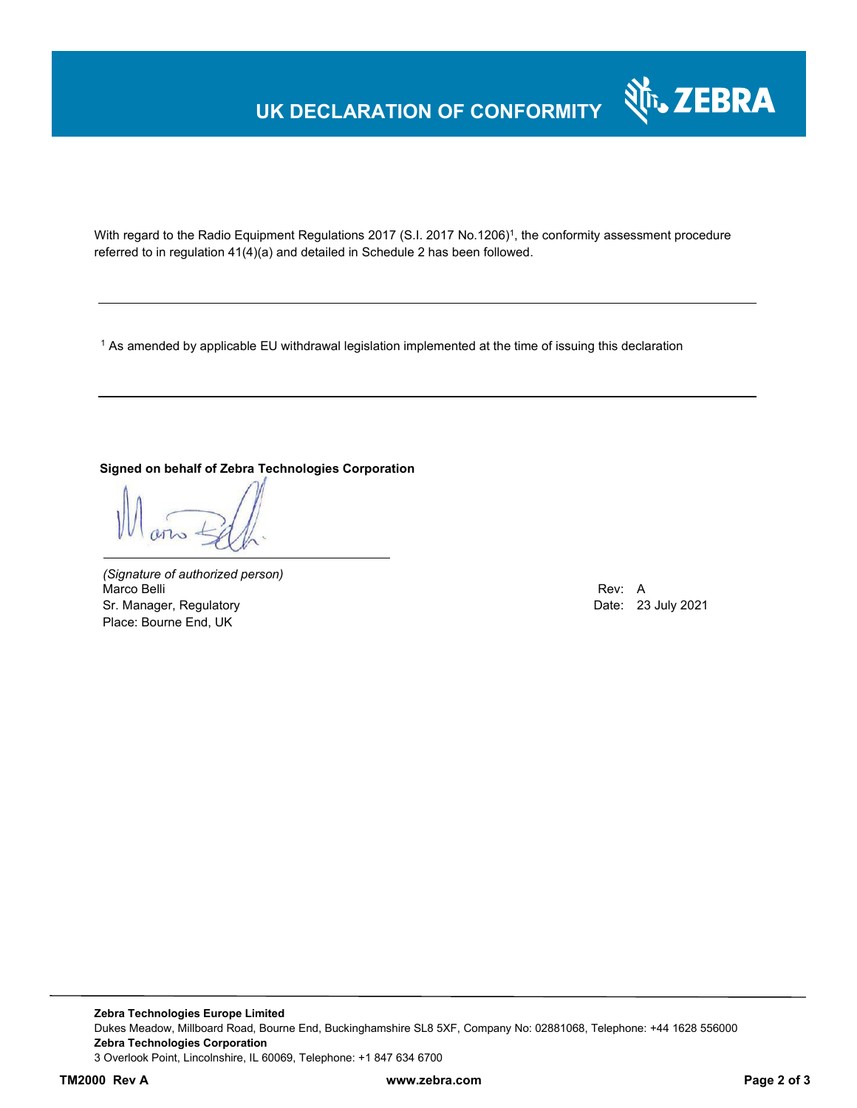# **UK DECLARATION OF CONFORMITY**



With regard to the Radio Equipment Regulations 2017 (S.I. 2017 No.1206)<sup>1</sup>, the conformity assessment procedure referred to in regulation 41(4)(a) and detailed in Schedule 2 has been followed.

 $^{\rm 1}$  As amended by applicable EU withdrawal legislation implemented at the time of issuing this declaration

#### **Signed on behalf of Zebra Technologies Corporation**

*(Signature of authorized person)* Marco Belli Rev: A Alexander Communication of the Communication of the Communication of the Communication of the Communication of the Communication of the Communication of the Communication of the Communication of the Comm Sr. Manager, Regulatory **Date: 23 July 2021** Place: Bourne End, UK

**Zebra Technologies Europe Limited**  Dukes Meadow, Millboard Road, Bourne End, Buckinghamshire SL8 5XF, Company No: 02881068, Telephone: +44 1628 556000 **Zebra Technologies Corporation**  3 Overlook Point, Lincolnshire, IL 60069, Telephone: +1 847 634 6700